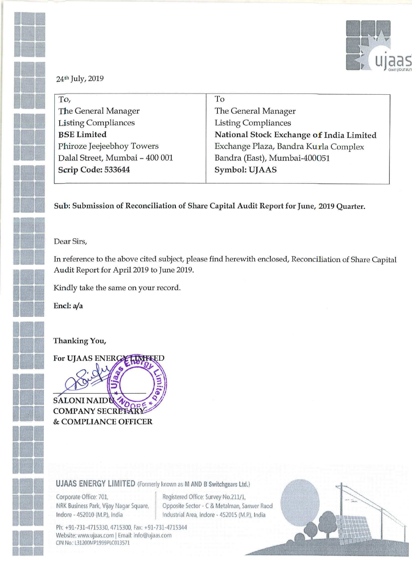

|  | 24th July, 2019 |
|--|-----------------|

| To,                            | To                                       |
|--------------------------------|------------------------------------------|
| The General Manager            | The General Manager                      |
| <b>Listing Compliances</b>     | <b>Listing Compliances</b>               |
| <b>BSE Limited</b>             | National Stock Exchange of India Limited |
| Phiroze Jeejeebhoy Towers      | Exchange Plaza, Bandra Kurla Complex     |
| Dalal Street, Mumbai - 400 001 | Bandra (East), Mumbai-400051             |
| Scrip Code: 533644             | Symbol: UJAAS                            |
|                                |                                          |

Sub: Submission of Reconciliation of Share Capital Audit Report for June, 2019 Quarter.

#### Dear Sirs,

In reference to the above cited subject, please find herewith enclosed, Reconciliation of Share Capital Audit Report for April 2019 to June 2019.

Kindly take the same on your record.

Encl: a/a

### Thanking You,

For UJAAS ENERG **SALONI NAID COMPANY SECRETAR** & COMPLIANCE OFFICER

### **UJAAS ENERGY LIMITED** (Formerly known as M AND B Switchgears Ltd.)

Corporate Office: 701, NRK Business Park, Vijay Nagar Square, Indore - 452010 (M.P.), India

Registered Office: Survey No.211/1, Opposite Sector - C & Metalman, Sanwer Raod Industrial Area, Indore - 452015 (M.P.), India

Ph: +91-731-4715330, 4715300, Fax: +91-731-4715344 Website: www.ujaas.com | Email: info@ujaas.com CIN No.: L31200MP1999PLC013571

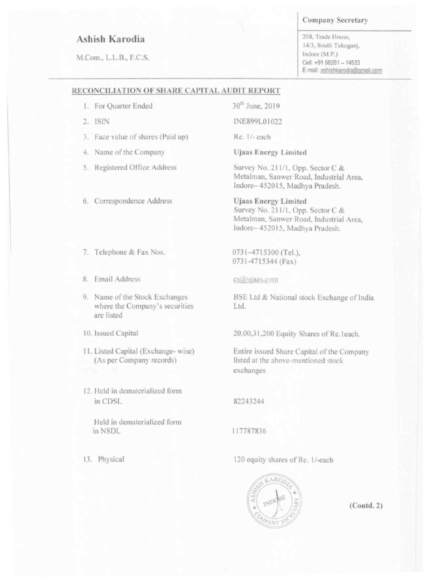# Ashish Karodia

M.Com., L.L.B., F.C.S.

203. Trade House. 14/3, South Tukoganj, Indore (M.P.) Cell: +91 98261 - 14533 E-mail: ashishkarodia@gmail.com

# Company Secretary

### RECONCILIATION OF SHARE CAPITAL AUDIT REPORT

1. For Quarter Ended

3.: ISIN

3. Face value of shares (Paid up)

4. Name of the Company

9. Name of the Stock Exchanges where the Company's securities are listed

- 11. Listed Capital (Exchange-wise) (As per Company records)
- 12. Held in dematerialized form in CDSL

Registered Office Address

6. Correspondence Address

lo. Issued Capital

Telephone & Fax Nos.

Email Address

Re. 1/- each

**Ujaas Energy Limited** 

Survey No. 211/1, Opp. Sector C & Metalman. Sanwer Road. Industrial Area. lndore— 4520l5. Madhya Pradesh.

**Ujaas Energy Limited** Survey No. 211/1, Opp. Sector C & Metalman, Sanwer Road, Industrial Area, Indore-452015, Madhya Pradesh.

BSE Ltd & National stock Exchange of India Ltd.

20,00,31,200 Equity Shares of Re.1each.

Held in dematerialized form in NSDL

30'" June. 2019

INER99L0 [022

0731—47I5300 (Tc|.). 073l-47I5344 (Fax)

## cs@ujaas.com

Entire issued Share Capital of the Company listed at the above-mentioned stock exchanges

82243244

<sup>I</sup> |7787836

13. Physical

120 equity shares of Re. 1/-each



(Contd. 2)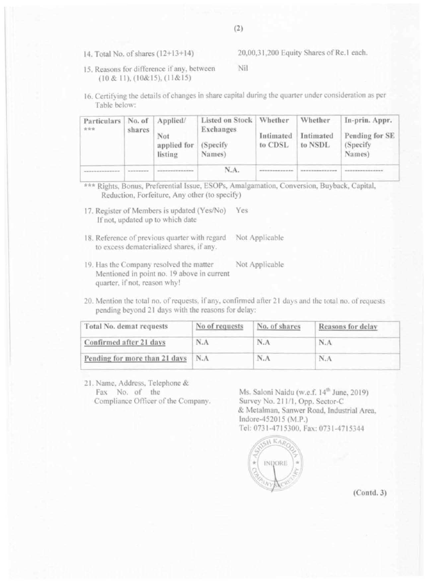14. Total No. of shares  $(12+13+14)$ 

20,00,31,200 Equity Shares of Re.1 each.

- Nil 15. Reasons for difference if any, between  $(10 & 11), (10 & 15), (11 & 15)$
- 16. Certifying the details of changes in share capital during the quarter under consideration as per Table below:

| Particulars<br>安全会 | No. of<br>shares | Applied/<br>Not<br>applied for<br>listing | Listed on Stock   Whether<br><b>Exchanges</b><br>(Specify)<br>Names) | Intimated<br>to CDSL | Whether<br>Intimated<br>to NSDL | In-prin. Appr.<br>Pending for SE<br>(Specify)<br>Names) |
|--------------------|------------------|-------------------------------------------|----------------------------------------------------------------------|----------------------|---------------------------------|---------------------------------------------------------|
|                    |                  |                                           | N.A.                                                                 |                      |                                 |                                                         |

\*\*\* Rights, Bonus, Preferential Issue, ESOPs, Amalgamation, Conversion, Buyback, Capital, Reduction, Forfeiture, Any other (to specify)

- 17. Register of Members is updated (Yes/No) Yes If not, updated up to which date
- 18. Reference of previous quarter with regard Not Applicable to excess dematerialized shares, if any.
- 19. Has the Company resolved the matter Not Applicable Mentioned in point no. 19 above in current quarter, if not, reason why!

20. Mention the total no. of requests, if any, confirmed after 21 days and the total no. of requests pending beyond 21 days with the reasons for delay:

| Total No. demat requests      | No of requests | No. of shares | Reasons for delay |
|-------------------------------|----------------|---------------|-------------------|
| Confirmed after 21 days       | N.A            | N.A           | N.A               |
| Pending for more than 21 days | N.A            | N.A           | N.A               |

21. Name, Address, Telephone & Fax No. of the Compliance Officer of the Company.

Ms. Saloni Naidu (w.e.f. 14<sup>th</sup> June, 2019) Survey No. 211/1, Opp. Sector-C & Metalman, Sanwer Road, Industrial Area. Indore-452015 (M.P.) Tel: 0731-4715300, Fax: 0731-4715344



 $(Contd.3)$